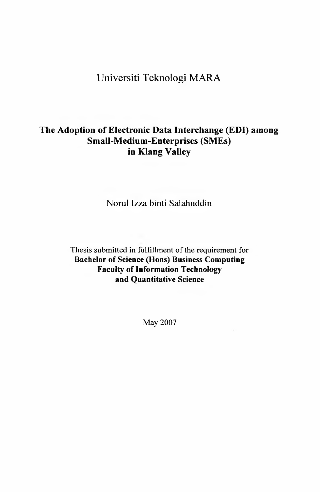# Universiti Teknologi MARA

## **The Adoption of Electronic Data Interchange (EDI) among Small-Medium-Enterprises (SMEs) in Klang Valley**

Norul Izza binti Salahuddin

Thesis submitted in fulfillment of the requirement for **Bachelor of Science (Hons) Business Computing Faculty of Information Technology and Quantitative Science**

May 2007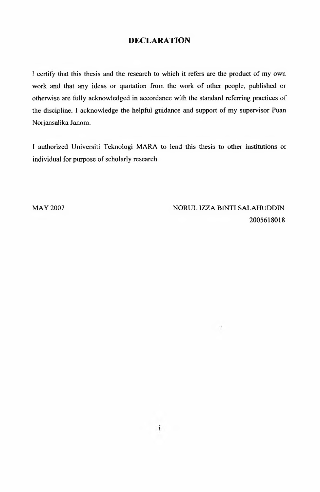#### **DECLARATION**

I certify that this thesis and the research to which it refers are the product of my own work and that any ideas or quotation from the work of other people, published or otherwise are fully acknowledged in accordance with the standard referring practices of the discipline. I acknowledge the helpful guidance and support of my supervisor Puan Norjansalika Janom.

I authorized Universiti Teknologi MARA to lend this thesis to other institutions or individual for purpose of scholarly research.

MAY 2007 NORUL IZZA BINTI SALAHUDDIN 2005618018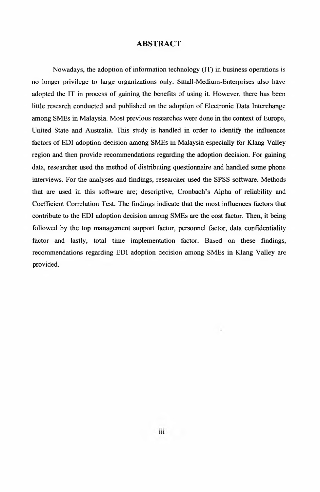#### **ABSTRACT**

Nowadays, the adoption of information technology (IT) in business operations is no longer privilege to large organizations only. Small-Medium-Enterprises also have adopted the IT in process of gaining the benefits of using it. However, there has been little research conducted and published on the adoption of Electronic Data Interchange among SMEs in Malaysia. Most previous researches were done in the context of Europe, United State and Australia. This study is handled in order to identify the influences factors of EDI adoption decision among SMEs in Malaysia especially for Klang Valley region and then provide recommendations regarding the adoption decision. For gaining data, researcher used the method of distributing questionnaire and handled some phone interviews. For the analyses and findings, researcher used the SPSS software. Methods that are used in this software are; descriptive, Cronbach's Alpha of reliability and Coefficient Correlation Test. The findings indicate that the most influences factors that contribute to the EDI adoption decision among SMEs are the cost factor. Then, it being followed by the top management support factor, personnel factor, data confidentiality factor and lastly, total time implementation factor. Based on these findings, recommendations regarding EDI adoption decision among SMEs in Klang Valley are provided.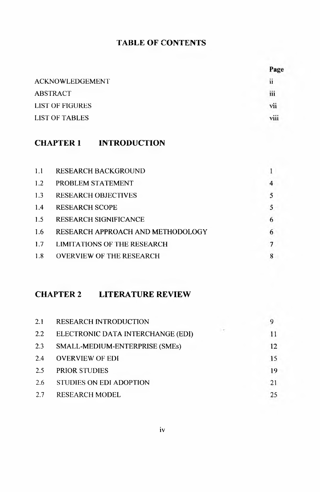### **TABLE OF CONTENTS**

|                        | Page    |
|------------------------|---------|
| <b>ACKNOWLEDGEMENT</b> | ii      |
| <b>ABSTRACT</b>        | <br>111 |
| <b>LIST OF FIGURES</b> | vii     |
| <b>LIST OF TABLES</b>  | viii    |
|                        |         |

### **CHAPTER 1 INTRODUCTION**

| 1.1 | <b>RESEARCH BACKGROUND</b>        |   |
|-----|-----------------------------------|---|
| 1.2 | PROBLEM STATEMENT                 | 4 |
| 1.3 | <b>RESEARCH OBJECTIVES</b>        | 5 |
| 1.4 | <b>RESEARCH SCOPE</b>             | 5 |
| 1.5 | <b>RESEARCH SIGNIFICANCE</b>      | 6 |
| 1.6 | RESEARCH APPROACH AND METHODOLOGY | 6 |
| 1.7 | LIMITATIONS OF THE RESEARCH       |   |
| 1.8 | <b>OVERVIEW OF THE RESEARCH</b>   |   |

### **CHAPTER 2 LITERATURE REVIEW**

| 2.1 | <b>RESEARCH INTRODUCTION</b>      |    |
|-----|-----------------------------------|----|
| 2.2 | ELECTRONIC DATA INTERCHANGE (EDI) |    |
| 2.3 | SMALL-MEDIUM-ENTERPRISE (SMEs)    | 12 |
| 2.4 | <b>OVERVIEW OF EDI</b>            | 15 |
| 2.5 | <b>PRIOR STUDIES</b>              | 19 |
| 2.6 | STUDIES ON EDI ADOPTION           | 21 |
| 2.7 | <b>RESEARCH MODEL</b>             | 25 |